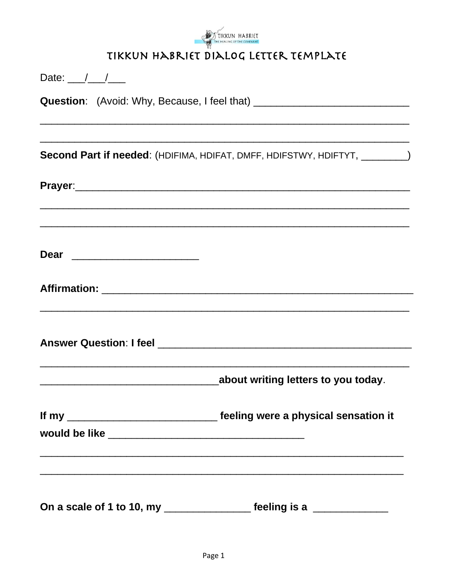

## TIKKUN HABRIET DIALOG LETTER TEMPLATE

| Date: $\frac{1}{\sqrt{1-\frac{1}{2}}}$                                           |                                                                              |  |
|----------------------------------------------------------------------------------|------------------------------------------------------------------------------|--|
| Question: (Avoid: Why, Because, I feel that) ___________________________________ |                                                                              |  |
|                                                                                  |                                                                              |  |
|                                                                                  | Second Part if needed: (HDIFIMA, HDIFAT, DMFF, HDIFSTWY, HDIFTYT, ________)  |  |
|                                                                                  |                                                                              |  |
|                                                                                  |                                                                              |  |
| Dear __________________________                                                  |                                                                              |  |
|                                                                                  |                                                                              |  |
|                                                                                  |                                                                              |  |
|                                                                                  | about writing letters to you today.                                          |  |
|                                                                                  | If my _________________________________ feeling were a physical sensation it |  |
|                                                                                  |                                                                              |  |
| On a scale of 1 to 10, my ________________                                       | feeling is a ___________                                                     |  |